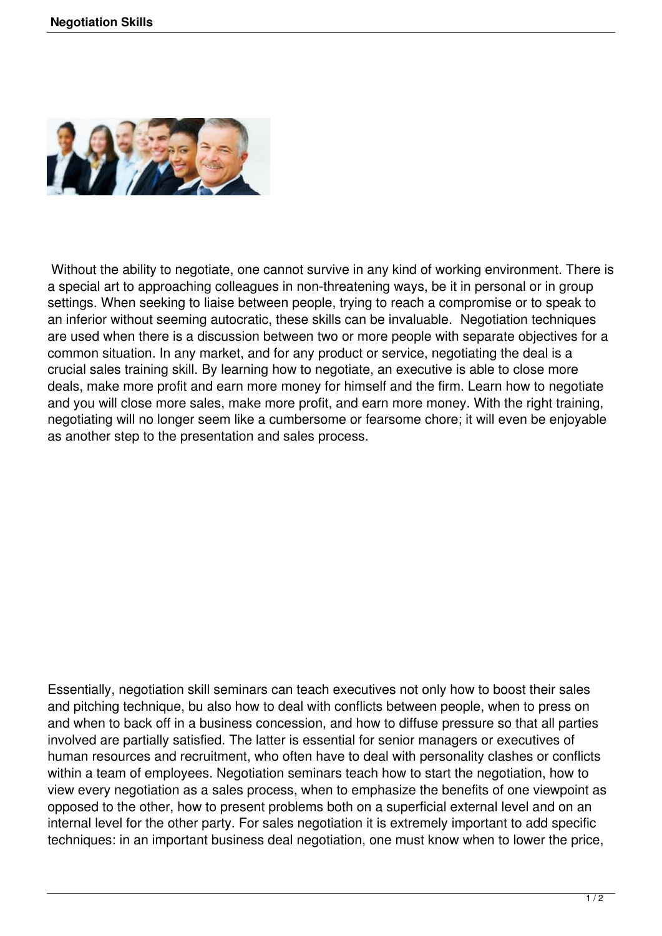

Without the ability to negotiate, one cannot survive in any kind of working environment. There is a special art to approaching colleagues in non-threatening ways, be it in personal or in group settings. When seeking to liaise between people, trying to reach a compromise or to speak to an inferior without seeming autocratic, these skills can be invaluable. Negotiation techniques are used when there is a discussion between two or more people with separate objectives for a common situation. In any market, and for any product or service, negotiating the deal is a crucial sales training skill. By learning how to negotiate, an executive is able to close more deals, make more profit and earn more money for himself and the firm. Learn how to negotiate and you will close more sales, make more profit, and earn more money. With the right training, negotiating will no longer seem like a cumbersome or fearsome chore; it will even be enjoyable as another step to the presentation and sales process.

Essentially, negotiation skill seminars can teach executives not only how to boost their sales and pitching technique, bu also how to deal with conflicts between people, when to press on and when to back off in a business concession, and how to diffuse pressure so that all parties involved are partially satisfied. The latter is essential for senior managers or executives of human resources and recruitment, who often have to deal with personality clashes or conflicts within a team of employees. Negotiation seminars teach how to start the negotiation, how to view every negotiation as a sales process, when to emphasize the benefits of one viewpoint as opposed to the other, how to present problems both on a superficial external level and on an internal level for the other party. For sales negotiation it is extremely important to add specific techniques: in an important business deal negotiation, one must know when to lower the price,